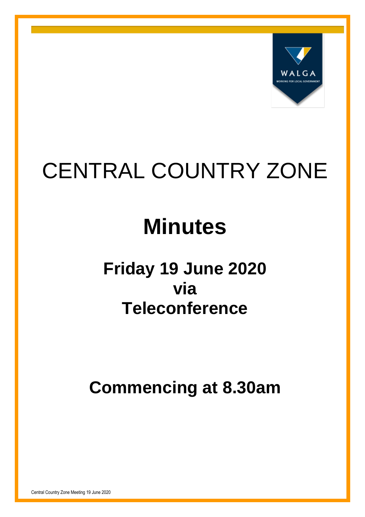

# CENTRAL COUNTRY ZONE

# **Minutes**

# **Friday 19 June 2020 via Teleconference**

**Commencing at 8.30am**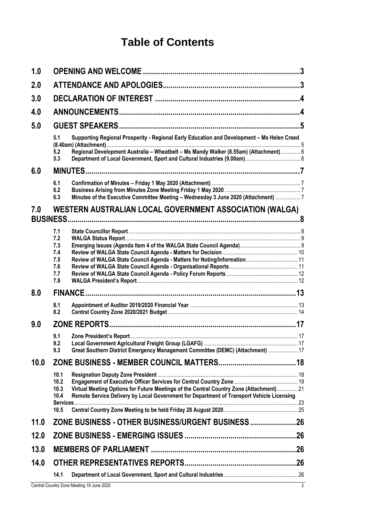## **Table of Contents**

| 1.0  |                                                                                                                                                                                                      |  |  |  |  |  |
|------|------------------------------------------------------------------------------------------------------------------------------------------------------------------------------------------------------|--|--|--|--|--|
| 2.0  |                                                                                                                                                                                                      |  |  |  |  |  |
| 3.0  |                                                                                                                                                                                                      |  |  |  |  |  |
| 4.0  |                                                                                                                                                                                                      |  |  |  |  |  |
| 5.0  |                                                                                                                                                                                                      |  |  |  |  |  |
|      | Supporting Regional Prosperity - Regional Early Education and Development - Ms Helen Creed<br>5.1                                                                                                    |  |  |  |  |  |
|      | Regional Development Australia - Wheatbelt - Ms Mandy Walker (8.55am) (Attachment)  6<br>5.2<br>5.3                                                                                                  |  |  |  |  |  |
| 6.0  |                                                                                                                                                                                                      |  |  |  |  |  |
|      | 6.1<br>6.2<br>Minutes of the Executive Committee Meeting - Wednesday 3 June 2020 (Attachment) 7<br>6.3                                                                                               |  |  |  |  |  |
| 7.0  | WESTERN AUSTRALIAN LOCAL GOVERNMENT ASSOCIATION (WALGA)                                                                                                                                              |  |  |  |  |  |
|      |                                                                                                                                                                                                      |  |  |  |  |  |
|      | 7.1<br>7.2                                                                                                                                                                                           |  |  |  |  |  |
|      | 7.3                                                                                                                                                                                                  |  |  |  |  |  |
|      | 7.4<br>7.5                                                                                                                                                                                           |  |  |  |  |  |
|      | 7.6                                                                                                                                                                                                  |  |  |  |  |  |
|      | 7.7<br>7.8                                                                                                                                                                                           |  |  |  |  |  |
| 8.0  |                                                                                                                                                                                                      |  |  |  |  |  |
|      | 8.1<br>8.2                                                                                                                                                                                           |  |  |  |  |  |
| 9.0  |                                                                                                                                                                                                      |  |  |  |  |  |
|      | 9.1                                                                                                                                                                                                  |  |  |  |  |  |
|      | 9.2<br>Great Southern District Emergency Management Committee (DEMC) (Attachment)  17<br>9.3                                                                                                         |  |  |  |  |  |
| 10.0 |                                                                                                                                                                                                      |  |  |  |  |  |
|      | 10.1                                                                                                                                                                                                 |  |  |  |  |  |
|      | 10.2                                                                                                                                                                                                 |  |  |  |  |  |
|      | Virtual Meeting Options for Future Meetings of the Central Country Zone (Attachment) 21<br>10.3<br>Remote Service Delivery by Local Government for Department of Transport Vehicle Licensing<br>10.4 |  |  |  |  |  |
|      | 10.5                                                                                                                                                                                                 |  |  |  |  |  |
| 11.0 | ZONE BUSINESS - OTHER BUSINESS/URGENT BUSINESS26                                                                                                                                                     |  |  |  |  |  |
| 12.0 |                                                                                                                                                                                                      |  |  |  |  |  |
| 13.0 |                                                                                                                                                                                                      |  |  |  |  |  |
| 14.0 |                                                                                                                                                                                                      |  |  |  |  |  |
|      | 14.1                                                                                                                                                                                                 |  |  |  |  |  |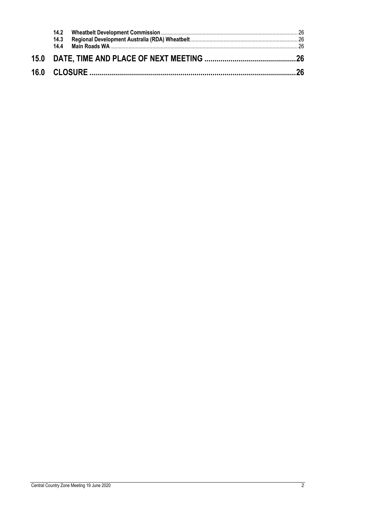| 14.3 |  |
|------|--|
|      |  |
|      |  |
|      |  |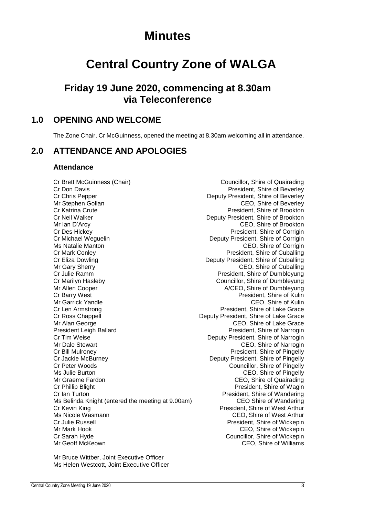## **Minutes**

## **Central Country Zone of WALGA**

### **Friday 19 June 2020, commencing at 8.30am via Teleconference**

### <span id="page-3-0"></span>**1.0 OPENING AND WELCOME**

The Zone Chair, Cr McGuinness, opened the meeting at 8.30am welcoming all in attendance.

### <span id="page-3-1"></span>**2.0 ATTENDANCE AND APOLOGIES**

### **Attendance**

Cr Brett McGuinness (Chair) Councillor, Shire of Quairading Cr Don Davis President, Shire of Beverley Cr Chris Pepper Deputy President, Shire of Beverley Mr Stephen Gollan Center Center Center CEO, Shire of Beverley Cr Katrina Crute President, Shire of Brookton Cr Neil Walker Deputy President, Shire of Brookton Mr Ian D'Arcy CEO, Shire of Brookton Cr Des Hickey<br>
Cr Michael Weguelin<br>
Cr Michael Weguelin<br>
Cr Michael Weguelin<br>
Cr Michael Weguelin Cr Michael Weguelin **Credit Corrigin** Deputy President, Shire of Corrigin<br>Ms Natalie Manton **Deputy President, Shire of Corrigin** Cr Mark Conley **President**, Shire of Cuballing Cr Eliza Dowling **Creative Creative Creative President**, Shire of Cuballing Mr Gary Sherry **CEO**, Shire of Cuballing Cr Julie Ramm President, Shire of Dumbleyung Cr Marilyn Hasleby Councillor, Shire of Dumbleyung Mr Allen Cooper **A/CEO, Shire of Dumbleyung** Cr Barry West President, Shire of Kulin Mr Garrick Yandle CEO, Shire of Kulin Cr Len Armstrong **President**, Shire of Lake Grace Cr Ross Chappell Deputy President, Shire of Lake Grace Mr Alan George Ceorge Ceo, Shire of Lake Grace President Leigh Ballard President, Shire of Narrogin Cr Tim Weise Deputy President, Shire of Narrogin Mr Dale Stewart CEO, Shire of Narrogin Cr Bill Mulroney President, Shire of Pingelly Cr Jackie McBurney<br>
Cr Deputy President, Shire of Pingelly<br>
Cr Peter Woods
Councillor, Shire of Pingelly Ms Julie Burton **Manufath CEO**, Shire of Pingelly<br>Mr Graeme Fardon Manufath CEO, Shire of Quairading Mr Graeme Fardon **Mr Graeme Fardon** CEO, Shire of Quairading CEO, Shire of Quairading Critical Critical Critical Critical Critical Critical Critical Critical Critical Critical Critical Critical Critical Critical Critical C Cr Ian Turton<br>Ms Belinda Knight (entered the meeting at 9.00am) President, Shire of Wandering<br>CEO Shire of Wandering Ms Belinda Knight (entered the meeting at 9.00am) Cr Kevin King President, Shire of West Arthur Ms Nicole Wasmann CEO, Shire of West Arthur Cr Julie Russell President, Shire of Wickepin Mr Mark Hook CEO, Shire of Wickepin Cr Sarah Hyde Councillor, Shire of Wickepin Mr Geoff McKeown CEO, Shire of Williams

CEO. Shire of Corrigin Councillor, Shire of Pingelly President, Shire of Wagin

Mr Bruce Wittber, Joint Executive Officer Ms Helen Westcott, Joint Executive Officer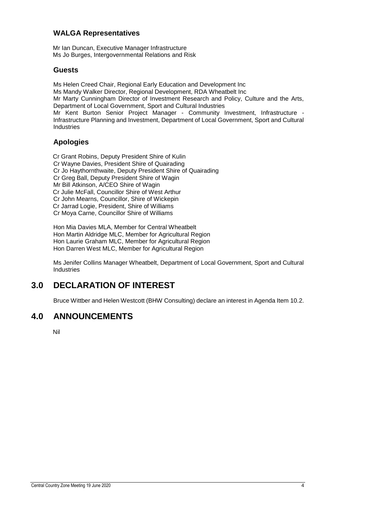### **WALGA Representatives**

Mr Ian Duncan, Executive Manager Infrastructure Ms Jo Burges, Intergovernmental Relations and Risk

### **Guests**

Ms Helen Creed Chair, Regional Early Education and Development Inc Ms Mandy Walker Director, Regional Development, RDA Wheatbelt Inc Mr Marty Cunningham Director of Investment Research and Policy, Culture and the Arts, Department of Local Government, Sport and Cultural Industries Mr Kent Burton Senior Project Manager - Community Investment, Infrastructure - Infrastructure Planning and Investment, Department of Local Government, Sport and Cultural **Industries** 

### **Apologies**

Cr Grant Robins, Deputy President Shire of Kulin Cr Wayne Davies, President Shire of Quairading Cr Jo Haythornthwaite, Deputy President Shire of Quairading Cr Greg Ball, Deputy President Shire of Wagin Mr Bill Atkinson, A/CEO Shire of Wagin Cr Julie McFall, Councillor Shire of West Arthur Cr John Mearns, Councillor, Shire of Wickepin Cr Jarrad Logie, President, Shire of Williams Cr Moya Carne, Councillor Shire of Williams

Hon Mia Davies MLA, Member for Central Wheatbelt Hon Martin Aldridge MLC, Member for Agricultural Region Hon Laurie Graham MLC, Member for Agricultural Region Hon Darren West MLC, Member for Agricultural Region

Ms Jenifer Collins Manager Wheatbelt, Department of Local Government, Sport and Cultural Industries

### <span id="page-4-0"></span>**3.0 DECLARATION OF INTEREST**

Bruce Wittber and Helen Westcott (BHW Consulting) declare an interest in Agenda Item 10.2.

### <span id="page-4-1"></span>**4.0 ANNOUNCEMENTS**

Nil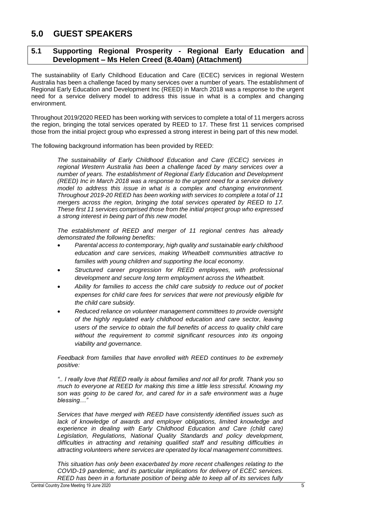### <span id="page-5-0"></span>**5.0 GUEST SPEAKERS**

### <span id="page-5-1"></span>**5.1 Supporting Regional Prosperity - Regional Early Education and Development – Ms Helen Creed (8.40am) (Attachment)**

The sustainability of Early Childhood Education and Care (ECEC) services in regional Western Australia has been a challenge faced by many services over a number of years. The establishment of Regional Early Education and Development Inc (REED) in March 2018 was a response to the urgent need for a service delivery model to address this issue in what is a complex and changing environment.

Throughout 2019/2020 REED has been working with services to complete a total of 11 mergers across the region, bringing the total services operated by REED to 17. These first 11 services comprised those from the initial project group who expressed a strong interest in being part of this new model.

The following background information has been provided by REED:

*The sustainability of Early Childhood Education and Care (ECEC) services in regional Western Australia has been a challenge faced by many services over a number of years. The establishment of Regional Early Education and Development (REED) Inc in March 2018 was a response to the urgent need for a service delivery model to address this issue in what is a complex and changing environment. Throughout 2019-20 REED has been working with services to complete a total of 11 mergers across the region, bringing the total services operated by REED to 17. These first 11 services comprised those from the initial project group who expressed a strong interest in being part of this new model.*

*The establishment of REED and merger of 11 regional centres has already demonstrated the following benefits:*

- *Parental access to contemporary, high quality and sustainable early childhood education and care services, making Wheatbelt communities attractive to families with young children and supporting the local economy.*
- *Structured career progression for REED employees, with professional development and secure long term employment across the Wheatbelt.*
- *Ability for families to access the child care subsidy to reduce out of pocket expenses for child care fees for services that were not previously eligible for the child care subsidy.*
- *Reduced reliance on volunteer management committees to provide oversight of the highly regulated early childhood education and care sector, leaving users of the service to obtain the full benefits of access to quality child care without the requirement to commit significant resources into its ongoing viability and governance.*

*Feedback from families that have enrolled with REED continues to be extremely positive:*

*".. I really love that REED really is about families and not all for profit. Thank you so much to everyone at REED for making this time a little less stressful. Knowing my son was going to be cared for, and cared for in a safe environment was a huge blessing…"* 

*Services that have merged with REED have consistently identified issues such as lack of knowledge of awards and employer obligations, limited knowledge and experience in dealing with Early Childhood Education and Care (child care) Legislation, Regulations, National Quality Standards and policy development, difficulties in attracting and retaining qualified staff and resulting difficulties in attracting volunteers where services are operated by local management committees.* 

*This situation has only been exacerbated by more recent challenges relating to the COVID-19 pandemic, and its particular implications for delivery of ECEC services. REED has been in a fortunate position of being able to keep all of its services fully*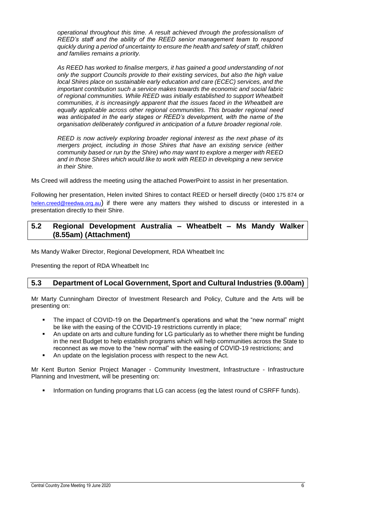*operational throughout this time. A result achieved through the professionalism of REED's staff and the ability of the REED senior management team to respond quickly during a period of uncertainty to ensure the health and safety of staff, children and families remains a priority.*

*As REED has worked to finalise mergers, it has gained a good understanding of not only the support Councils provide to their existing services, but also the high value local Shires place on sustainable early education and care (ECEC) services, and the important contribution such a service makes towards the economic and social fabric of regional communities. While REED was initially established to support Wheatbelt communities, it is increasingly apparent that the issues faced in the Wheatbelt are equally applicable across other regional communities. This broader regional need was anticipated in the early stages or REED's development, with the name of the organisation deliberately configured in anticipation of a future broader regional role.*

*REED is now actively exploring broader regional interest as the next phase of its mergers project, including in those Shires that have an existing service (either community based or run by the Shire) who may want to explore a merger with REED and in those Shires which would like to work with REED in developing a new service in their Shire.*

Ms Creed will address the meeting using the attached PowerPoint to assist in her presentation.

Following her presentation, Helen invited Shires to contact REED or herself directly (0400 175 874 or [helen.creed@reedwa.org.au](mailto:helen.creed@reedwa.org.au)) if there were any matters they wished to discuss or interested in a presentation directly to their Shire.

### <span id="page-6-0"></span>**5.2 Regional Development Australia – Wheatbelt – Ms Mandy Walker (8.55am) (Attachment)**

Ms Mandy Walker Director, Regional Development, RDA Wheatbelt Inc

Presenting the report of RDA Wheatbelt Inc

### <span id="page-6-1"></span>**5.3 Department of Local Government, Sport and Cultural Industries (9.00am)**

Mr Marty Cunningham Director of Investment Research and Policy, Culture and the Arts will be presenting on:

- The impact of COVID-19 on the Department's operations and what the "new normal" might be like with the easing of the COVID-19 restrictions currently in place;
- An update on arts and culture funding for LG particularly as to whether there might be funding in the next Budget to help establish programs which will help communities across the State to reconnect as we move to the "new normal" with the easing of COVID-19 restrictions; and
- An update on the legislation process with respect to the new Act.

Mr Kent Burton Senior Project Manager - Community Investment, Infrastructure - Infrastructure Planning and Investment, will be presenting on:

Information on funding programs that LG can access (eg the latest round of CSRFF funds).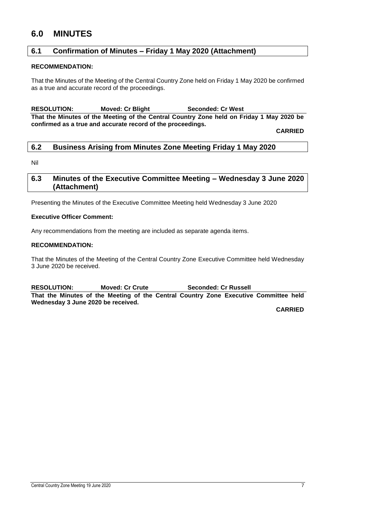### <span id="page-7-0"></span>**6.0 MINUTES**

### <span id="page-7-1"></span>**6.1 Confirmation of Minutes – Friday 1 May 2020 (Attachment)**

### **RECOMMENDATION:**

That the Minutes of the Meeting of the Central Country Zone held on Friday 1 May 2020 be confirmed as a true and accurate record of the proceedings.

**RESOLUTION: Moved: Cr Blight Seconded: Cr West That the Minutes of the Meeting of the Central Country Zone held on Friday 1 May 2020 be confirmed as a true and accurate record of the proceedings.**

**CARRIED**

### <span id="page-7-2"></span>**6.2 Business Arising from Minutes Zone Meeting Friday 1 May 2020**

Nil

### <span id="page-7-3"></span>**6.3 Minutes of the Executive Committee Meeting – Wednesday 3 June 2020 (Attachment)**

Presenting the Minutes of the Executive Committee Meeting held Wednesday 3 June 2020

### **Executive Officer Comment:**

Any recommendations from the meeting are included as separate agenda items.

### **RECOMMENDATION:**

That the Minutes of the Meeting of the Central Country Zone Executive Committee held Wednesday 3 June 2020 be received.

**RESOLUTION: Moved: Cr Crute Seconded: Cr Russell That the Minutes of the Meeting of the Central Country Zone Executive Committee held Wednesday 3 June 2020 be received.**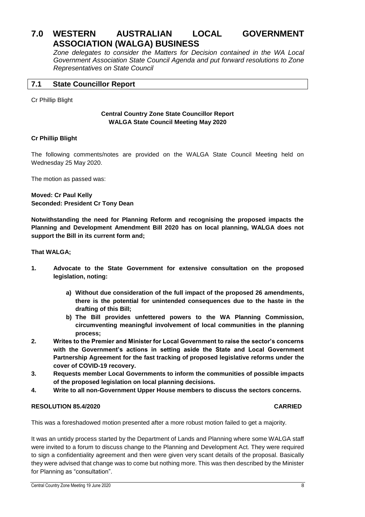### <span id="page-8-0"></span>**7.0 WESTERN AUSTRALIAN LOCAL GOVERNMENT ASSOCIATION (WALGA) BUSINESS**

*Zone delegates to consider the Matters for Decision contained in the WA Local Government Association State Council Agenda and put forward resolutions to Zone Representatives on State Council*

### <span id="page-8-1"></span>**7.1 State Councillor Report**

Cr Phillip Blight

### **Central Country Zone State Councillor Report WALGA State Council Meeting May 2020**

### **Cr Phillip Blight**

The following comments/notes are provided on the WALGA State Council Meeting held on Wednesday 25 May 2020.

The motion as passed was:

**Moved: Cr Paul Kelly Seconded: President Cr Tony Dean**

**Notwithstanding the need for Planning Reform and recognising the proposed impacts the Planning and Development Amendment Bill 2020 has on local planning, WALGA does not support the Bill in its current form and;** 

**That WALGA;** 

- **1. Advocate to the State Government for extensive consultation on the proposed legislation, noting:** 
	- **a) Without due consideration of the full impact of the proposed 26 amendments, there is the potential for unintended consequences due to the haste in the drafting of this Bill;**
	- **b) The Bill provides unfettered powers to the WA Planning Commission, circumventing meaningful involvement of local communities in the planning process;**
- **2. Writes to the Premier and Minister for Local Government to raise the sector's concerns with the Government's actions in setting aside the State and Local Government Partnership Agreement for the fast tracking of proposed legislative reforms under the cover of COVID-19 recovery.**
- **3. Requests member Local Governments to inform the communities of possible impacts of the proposed legislation on local planning decisions.**
- **4. Write to all non-Government Upper House members to discuss the sectors concerns.**

### **RESOLUTION 85.4/2020 CARRIED**

This was a foreshadowed motion presented after a more robust motion failed to get a majority.

It was an untidy process started by the Department of Lands and Planning where some WALGA staff were invited to a forum to discuss change to the Planning and Development Act. They were required to sign a confidentiality agreement and then were given very scant details of the proposal. Basically they were advised that change was to come but nothing more. This was then described by the Minister for Planning as "consultation".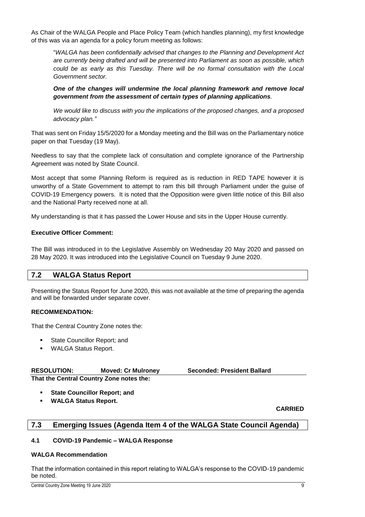As Chair of the WALGA People and Place Policy Team (which handles planning), my first knowledge of this was via an agenda for a policy forum meeting as follows:

"*WALGA has been confidentially advised that changes to the Planning and Development Act are currently being drafted and will be presented into Parliament as soon as possible, which could be as early as this Tuesday. There will be no formal consultation with the Local Government sector.* 

*One of the changes will undermine the local planning framework and remove local government from the assessment of certain types of planning applications.*

*We would like to discuss with you the implications of the proposed changes, and a proposed advocacy plan."*

That was sent on Friday 15/5/2020 for a Monday meeting and the Bill was on the Parliamentary notice paper on that Tuesday (19 May).

Needless to say that the complete lack of consultation and complete ignorance of the Partnership Agreement was noted by State Council.

Most accept that some Planning Reform is required as is reduction in RED TAPE however it is unworthy of a State Government to attempt to ram this bill through Parliament under the guise of COVID-19 Emergency powers. It is noted that the Opposition were given little notice of this Bill also and the National Party received none at all.

My understanding is that it has passed the Lower House and sits in the Upper House currently.

### **Executive Officer Comment:**

The Bill was introduced in to the Legislative Assembly on Wednesday 20 May 2020 and passed on 28 May 2020. It was introduced into the Legislative Council on Tuesday 9 June 2020.

### <span id="page-9-0"></span>**7.2 WALGA Status Report**

Presenting the Status Report for June 2020, this was not available at the time of preparing the agenda and will be forwarded under separate cover.

### **RECOMMENDATION:**

That the Central Country Zone notes the:

- State Councillor Report; and
- **WALGA Status Report.**

| <b>RESOLUTION:</b>                       | <b>Moved: Cr Mulroney</b> | <b>Seconded: President Ballard</b> |
|------------------------------------------|---------------------------|------------------------------------|
| That the Central Country Zone notes the: |                           |                                    |

- **State Councillor Report; and**
- **WALGA Status Report.**

**CARRIED**

### <span id="page-9-1"></span>**7.3 Emerging Issues (Agenda Item 4 of the WALGA State Council Agenda)**

### **4.1 COVID-19 Pandemic – WALGA Response**

#### **WALGA Recommendation**

That the information contained in this report relating to WALGA's response to the COVID-19 pandemic be noted.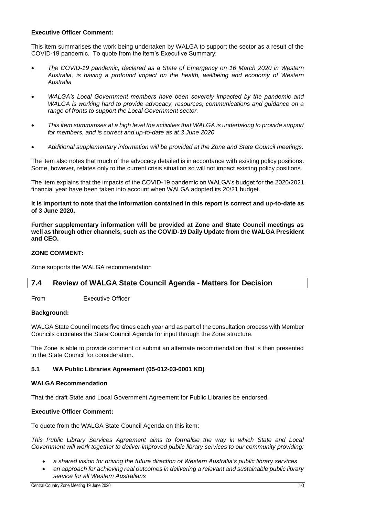### **Executive Officer Comment:**

This item summarises the work being undertaken by WALGA to support the sector as a result of the COVID-19 pandemic. To quote from the item's Executive Summary:

- *The COVID-19 pandemic, declared as a State of Emergency on 16 March 2020 in Western Australia, is having a profound impact on the health, wellbeing and economy of Western Australia*
- *WALGA's Local Government members have been severely impacted by the pandemic and WALGA is working hard to provide advocacy, resources, communications and guidance on a range of fronts to support the Local Government sector.*
- *This item summarises at a high level the activities that WALGA is undertaking to provide support for members, and is correct and up-to-date as at 3 June 2020*
- *Additional supplementary information will be provided at the Zone and State Council meetings.*

The item also notes that much of the advocacy detailed is in accordance with existing policy positions. Some, however, relates only to the current crisis situation so will not impact existing policy positions.

The item explains that the impacts of the COVID-19 pandemic on WALGA's budget for the 2020/2021 financial year have been taken into account when WALGA adopted its 20/21 budget.

#### **It is important to note that the information contained in this report is correct and up-to-date as of 3 June 2020.**

**Further supplementary information will be provided at Zone and State Council meetings as well as through other channels, such as the COVID-19 Daily Update from the WALGA President and CEO.**

### **ZONE COMMENT:**

Zone supports the WALGA recommendation

### <span id="page-10-0"></span>**7.4 Review of WALGA State Council Agenda - Matters for Decision**

From Executive Officer

### **Background:**

WALGA State Council meets five times each year and as part of the consultation process with Member Councils circulates the State Council Agenda for input through the Zone structure.

The Zone is able to provide comment or submit an alternate recommendation that is then presented to the State Council for consideration.

### **5.1 WA Public Libraries Agreement (05-012-03-0001 KD)**

#### **WALGA Recommendation**

That the draft State and Local Government Agreement for Public Libraries be endorsed.

### **Executive Officer Comment:**

To quote from the WALGA State Council Agenda on this item:

*This Public Library Services Agreement aims to formalise the way in which State and Local Government will work together to deliver improved public library services to our community providing:*

- *a shared vision for driving the future direction of Western Australia's public library services*
- *an approach for achieving real outcomes in delivering a relevant and sustainable public library service for all Western Australians*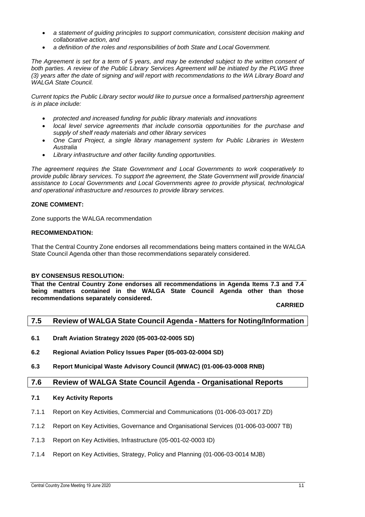- *a statement of guiding principles to support communication, consistent decision making and collaborative action, and*
- *a definition of the roles and responsibilities of both State and Local Government.*

*The Agreement is set for a term of 5 years, and may be extended subject to the written consent of*  both parties. A review of the Public Library Services Agreement will be initiated by the PLWG three *(3) years after the date of signing and will report with recommendations to the WA Library Board and WALGA State Council.* 

*Current topics the Public Library sector would like to pursue once a formalised partnership agreement is in place include:*

- *protected and increased funding for public library materials and innovations*
- *local level service agreements that include consortia opportunities for the purchase and supply of shelf ready materials and other library services*
- *One Card Project, a single library management system for Public Libraries in Western Australia*
- *Library infrastructure and other facility funding opportunities.*

*The agreement requires the State Government and Local Governments to work cooperatively to provide public library services. To support the agreement, the State Government will provide financial assistance to Local Governments and Local Governments agree to provide physical, technological and operational infrastructure and resources to provide library services.*

### **ZONE COMMENT:**

Zone supports the WALGA recommendation

### **RECOMMENDATION:**

That the Central Country Zone endorses all recommendations being matters contained in the WALGA State Council Agenda other than those recommendations separately considered.

#### **BY CONSENSUS RESOLUTION:**

**That the Central Country Zone endorses all recommendations in Agenda Items 7.3 and 7.4 being matters contained in the WALGA State Council Agenda other than those recommendations separately considered.**

### **CARRIED**

### <span id="page-11-0"></span>**7.5 Review of WALGA State Council Agenda - Matters for Noting/Information**

- **6.1 Draft Aviation Strategy 2020 (05-003-02-0005 SD)**
- **6.2 Regional Aviation Policy Issues Paper (05-003-02-0004 SD)**
- **6.3 Report Municipal Waste Advisory Council (MWAC) (01-006-03-0008 RNB)**

### <span id="page-11-1"></span>**7.6 Review of WALGA State Council Agenda - Organisational Reports**

#### **7.1 Key Activity Reports**

- 7.1.1 Report on Key Activities, Commercial and Communications (01-006-03-0017 ZD)
- 7.1.2 Report on Key Activities, Governance and Organisational Services (01-006-03-0007 TB)
- 7.1.3 Report on Key Activities, Infrastructure (05-001-02-0003 ID)
- 7.1.4 Report on Key Activities, Strategy, Policy and Planning (01-006-03-0014 MJB)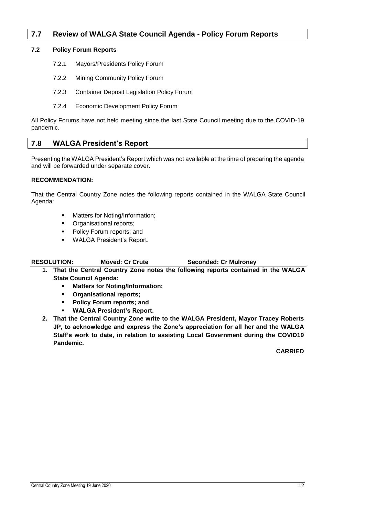### <span id="page-12-0"></span>**7.7 Review of WALGA State Council Agenda - Policy Forum Reports**

### **7.2 Policy Forum Reports**

- 7.2.1 Mayors/Presidents Policy Forum
- 7.2.2 Mining Community Policy Forum
- 7.2.3 Container Deposit Legislation Policy Forum
- 7.2.4 Economic Development Policy Forum

All Policy Forums have not held meeting since the last State Council meeting due to the COVID-19 pandemic.

### <span id="page-12-1"></span>**7.8 WALGA President's Report**

Presenting the WALGA President's Report which was not available at the time of preparing the agenda and will be forwarded under separate cover.

### **RECOMMENDATION:**

That the Central Country Zone notes the following reports contained in the WALGA State Council Agenda:

- Matters for Noting/Information;
- Organisational reports;
- Policy Forum reports; and
- WALGA President's Report.

### **RESOLUTION: Moved: Cr Crute Seconded: Cr Mulroney**

- **1. That the Central Country Zone notes the following reports contained in the WALGA State Council Agenda:**
	- **Matters for Noting/Information;**
	- **Organisational reports;**
	- **Policy Forum reports; and**
	- **WALGA President's Report.**
- **2. That the Central Country Zone write to the WALGA President, Mayor Tracey Roberts JP, to acknowledge and express the Zone's appreciation for all her and the WALGA Staff's work to date, in relation to assisting Local Government during the COVID19 Pandemic.**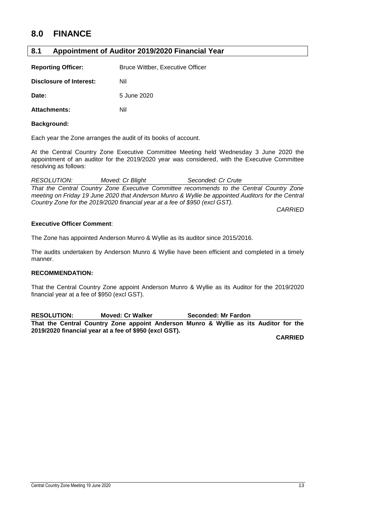### <span id="page-13-0"></span>**8.0 FINANCE**

### <span id="page-13-1"></span>**8.1 Appointment of Auditor 2019/2020 Financial Year**

| <b>Reporting Officer:</b> | <b>Bruce Wittber, Executive Officer</b> |
|---------------------------|-----------------------------------------|
|---------------------------|-----------------------------------------|

**Disclosure of Interest:** Nil

**Date:** 5 June 2020

Attachments: Nil

### **Background:**

Each year the Zone arranges the audit of its books of account.

At the Central Country Zone Executive Committee Meeting held Wednesday 3 June 2020 the appointment of an auditor for the 2019/2020 year was considered, with the Executive Committee resolving as follows:

*RESOLUTION: Moved: Cr Blight Seconded: Cr Crute That the Central Country Zone Executive Committee recommends to the Central Country Zone meeting on Friday 19 June 2020 that Anderson Munro & Wyllie be appointed Auditors for the Central Country Zone for the 2019/2020 financial year at a fee of \$950 (excl GST).*

*CARRIED*

### **Executive Officer Comment**:

The Zone has appointed Anderson Munro & Wyllie as its auditor since 2015/2016.

The audits undertaken by Anderson Munro & Wyllie have been efficient and completed in a timely manner.

### **RECOMMENDATION:**

That the Central Country Zone appoint Anderson Munro & Wyllie as its Auditor for the 2019/2020 financial year at a fee of \$950 (excl GST).

**RESOLUTION: Moved: Cr Walker Seconded: Mr Fardon That the Central Country Zone appoint Anderson Munro & Wyllie as its Auditor for the 2019/2020 financial year at a fee of \$950 (excl GST).**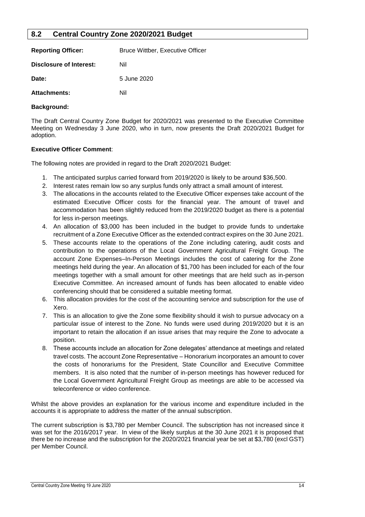### <span id="page-14-0"></span>**8.2 Central Country Zone 2020/2021 Budget**

| <b>Reporting Officer:</b> | <b>Bruce Wittber, Executive Officer</b> |  |  |
|---------------------------|-----------------------------------------|--|--|
| Disclosure of Interest:   | Nil                                     |  |  |
| Date:                     | 5 June 2020                             |  |  |
| <b>Attachments:</b>       | Nil                                     |  |  |

### **Background:**

The Draft Central Country Zone Budget for 2020/2021 was presented to the Executive Committee Meeting on Wednesday 3 June 2020, who in turn, now presents the Draft 2020/2021 Budget for adoption.

### **Executive Officer Comment**:

The following notes are provided in regard to the Draft 2020/2021 Budget:

- 1. The anticipated surplus carried forward from 2019/2020 is likely to be around \$36,500.
- 2. Interest rates remain low so any surplus funds only attract a small amount of interest.
- 3. The allocations in the accounts related to the Executive Officer expenses take account of the estimated Executive Officer costs for the financial year. The amount of travel and accommodation has been slightly reduced from the 2019/2020 budget as there is a potential for less in-person meetings.
- 4. An allocation of \$3,000 has been included in the budget to provide funds to undertake recruitment of a Zone Executive Officer as the extended contract expires on the 30 June 2021.
- 5. These accounts relate to the operations of the Zone including catering, audit costs and contribution to the operations of the Local Government Agricultural Freight Group. The account Zone Expenses–In-Person Meetings includes the cost of catering for the Zone meetings held during the year. An allocation of \$1,700 has been included for each of the four meetings together with a small amount for other meetings that are held such as in-person Executive Committee. An increased amount of funds has been allocated to enable video conferencing should that be considered a suitable meeting format.
- 6. This allocation provides for the cost of the accounting service and subscription for the use of Xero.
- 7. This is an allocation to give the Zone some flexibility should it wish to pursue advocacy on a particular issue of interest to the Zone. No funds were used during 2019/2020 but it is an important to retain the allocation if an issue arises that may require the Zone to advocate a position.
- 8. These accounts include an allocation for Zone delegates' attendance at meetings and related travel costs. The account Zone Representative – Honorarium incorporates an amount to cover the costs of honorariums for the President, State Councillor and Executive Committee members. It is also noted that the number of in-person meetings has however reduced for the Local Government Agricultural Freight Group as meetings are able to be accessed via teleconference or video conference.

Whilst the above provides an explanation for the various income and expenditure included in the accounts it is appropriate to address the matter of the annual subscription.

The current subscription is \$3,780 per Member Council. The subscription has not increased since it was set for the 2016/2017 year. In view of the likely surplus at the 30 June 2021 it is proposed that there be no increase and the subscription for the 2020/2021 financial year be set at \$3,780 (excl GST) per Member Council.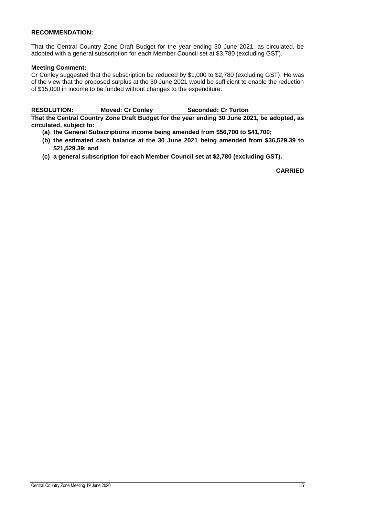### **RECOMMENDATION:**

That the Central Country Zone Draft Budget for the year ending 30 June 2021, as circulated, be adopted with a general subscription for each Member Council set at \$3,780 (excluding GST).

### **Meeting Comment:**

Cr Conley suggested that the subscription be reduced by \$1,000 to \$2,780 (excluding GST). He was of the view that the proposed surplus at the 30 June 2021 would be sufficient to enable the reduction of \$15,000 in income to be funded without changes to the expenditure.

**RESOLUTION: Moved: Cr Conley Seconded: Cr Turton That the Central Country Zone Draft Budget for the year ending 30 June 2021, be adopted, as** 

**circulated, subject to:**

- **(a) the General Subscriptions income being amended from \$56,700 to \$41,700;**
- **(b) the estimated cash balance at the 30 June 2021 being amended from \$36,529.39 to \$21,529.39; and**
- **(c) a general subscription for each Member Council set at \$2,780 (excluding GST).**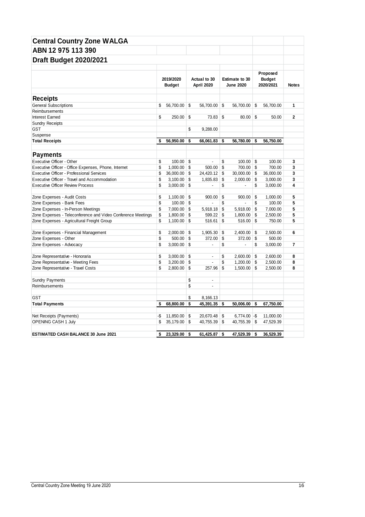| <b>Central Country Zone WALGA</b>                            |     |                            |     |                            |                                           |    |                                        |                |
|--------------------------------------------------------------|-----|----------------------------|-----|----------------------------|-------------------------------------------|----|----------------------------------------|----------------|
| ABN 12 975 113 390                                           |     |                            |     |                            |                                           |    |                                        |                |
|                                                              |     |                            |     |                            |                                           |    |                                        |                |
| <b>Draft Budget 2020/2021</b>                                |     |                            |     |                            |                                           |    |                                        |                |
|                                                              |     |                            |     |                            |                                           |    |                                        |                |
|                                                              |     | 2019/2020<br><b>Budget</b> |     | Actual to 30<br>April 2020 | <b>Estimate to 30</b><br><b>June 2020</b> |    | Proposed<br><b>Budget</b><br>2020/2021 | <b>Notes</b>   |
|                                                              |     |                            |     |                            |                                           |    |                                        |                |
| <b>Receipts</b>                                              |     |                            |     |                            |                                           |    |                                        |                |
| <b>General Subscriptions</b>                                 | \$  | 56,700.00                  | \$  | 56,700.00                  | \$<br>56,700.00                           | \$ | 56,700.00                              | 1              |
| Reimbursements                                               |     |                            |     |                            |                                           |    |                                        |                |
| <b>Interest Earned</b>                                       | \$  | 250.00                     | \$  | 73.83                      | \$<br>80.00                               | \$ | 50.00                                  | $\overline{2}$ |
| <b>Sundry Receipts</b>                                       |     |                            |     |                            |                                           |    |                                        |                |
| <b>GST</b>                                                   |     |                            | \$  | 9,288.00                   |                                           |    |                                        |                |
| Suspense                                                     |     |                            | \$  |                            |                                           |    |                                        |                |
| <b>Total Receipts</b>                                        | \$  | 56,950.00                  |     | 66,061.83                  | \$<br>56,780.00                           | \$ | 56,750.00                              |                |
| <b>Payments</b>                                              |     |                            |     |                            |                                           |    |                                        |                |
| Executive Officer - Other                                    | \$  | 100.00                     | \$  | $\overline{a}$             | \$<br>100.00                              | \$ | 100.00                                 | 3              |
| Executive Officer - Office Expenses, Phone, Internet         | \$  | 1,000.00                   | -\$ | $500.00$ \$                | 700.00 \$                                 |    | 700.00                                 | 3              |
| <b>Executive Officer - Professional Services</b>             | \$  | 36,000.00                  | \$  | 24,420.12 \$               | $30,000.00$ \$                            |    | 36,000.00                              | 3              |
| Executive Officer - Travel and Accommodation                 | \$  | 3,100.00                   | \$  | 1,835.83                   | \$<br>2,000.00                            | \$ | 3,000.00                               | 3              |
| <b>Executive Officer Review Process</b>                      | \$  | 3,000.00                   | \$  |                            | \$<br>$\overline{a}$                      | \$ | 3,000.00                               | 4              |
| Zone Expenses - Audit Costs                                  | \$  | 1,100.00                   | \$  | 900.00                     | \$<br>900.00                              | \$ | 1,000.00                               | 5              |
| Zone Expenses - Bank Fees                                    | \$  | 100.00                     | \$  |                            | \$                                        | \$ | 100.00                                 | 5              |
| Zone Expenses - In-Person Meetings                           | \$  | 7,000.00                   | \$  | 5,918.18                   | \$<br>5,918.00                            | \$ | 7,000.00                               | 5              |
| Zone Expenses - Teleconference and Video Conference Meetings | \$  | 1,800.00                   | \$  | 599.22                     | \$<br>1,800.00                            | \$ | 2,500.00                               | 5              |
| Zone Expenses - Agricultural Freight Group                   | \$  | 1,100.00                   | \$  | 516.61                     | \$<br>516.00                              | \$ | 750.00                                 | 5              |
| Zone Expenses - Financial Management                         | \$  | 2,000.00                   | \$  | 1,905.30                   | \$<br>2,400.00                            | \$ | 2,500.00                               | 6              |
| Zone Expenses - Other                                        | \$  | 500.00                     | \$  | 372.00                     | \$<br>372.00                              | \$ | 500.00                                 |                |
| Zone Expenses - Advocacy                                     | \$  | 3,000.00                   | \$  |                            | \$<br>÷,                                  | \$ | 3,000.00                               | 7              |
| Zone Representative - Honoraria                              | \$  | 3,000.00                   | \$  | $\blacksquare$             | \$<br>2,600.00                            | \$ | 2,600.00                               | 8              |
| Zone Representative - Meeting Fees                           | \$  | 3,200.00                   | \$  | ÷,                         | \$<br>1,200.00                            | \$ | 2,500.00                               | 8              |
| Zone Representative - Travel Costs                           | \$  | 2,800.00                   | \$  | 257.96                     | \$<br>$1,500.00$ \$                       |    | 2,500.00                               | 8              |
| <b>Sundry Payments</b>                                       |     |                            | \$  | $\blacksquare$             |                                           |    |                                        |                |
| Reimbursements                                               |     |                            | \$  | ÷,                         |                                           |    |                                        |                |
| <b>GST</b>                                                   |     |                            | \$  | 8,166.13                   |                                           |    |                                        |                |
| <b>Total Payments</b>                                        | \$  | 68,800.00                  | \$  | 45,391.35                  | \$<br>50,006.00                           | \$ | 67,750.00                              |                |
|                                                              |     |                            |     |                            |                                           |    |                                        |                |
| Net Receipts (Payments)                                      | -\$ | 11,850.00                  | \$  | 20,670.48                  | \$<br>$6,774.00 - $$                      |    | 11,000.00                              |                |
| OPENING CASH 1 July                                          | \$  | 35,179.00                  | \$  | 40,755.39                  | \$<br>40,755.39 \$                        |    | 47,529.39                              |                |
| <b>ESTIMATED CASH BALANCE 30 June 2021</b>                   | \$  | 23,329.00                  | \$  | 61,425.87                  | \$<br>47.529.39                           | -S | 36,529.39                              |                |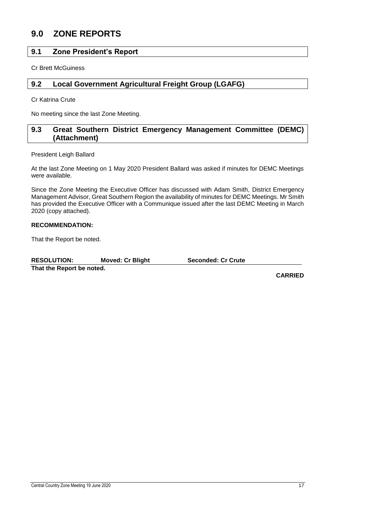### <span id="page-17-0"></span>**9.0 ZONE REPORTS**

### <span id="page-17-1"></span>**9.1 Zone President's Report**

Cr Brett McGuiness

### <span id="page-17-2"></span>**9.2 Local Government Agricultural Freight Group (LGAFG)**

Cr Katrina Crute

No meeting since the last Zone Meeting.

### <span id="page-17-3"></span>**9.3 Great Southern District Emergency Management Committee (DEMC) (Attachment)**

President Leigh Ballard

At the last Zone Meeting on 1 May 2020 President Ballard was asked if minutes for DEMC Meetings were available.

Since the Zone Meeting the Executive Officer has discussed with Adam Smith, District Emergency Management Advisor, Great Southern Region the availability of minutes for DEMC Meetings. Mr Smith has provided the Executive Officer with a Communique issued after the last DEMC Meeting in March 2020 (copy attached).

### **RECOMMENDATION:**

That the Report be noted.

**RESOLUTION: Moved: Cr Blight Seconded: Cr Crute**

**That the Report be noted.**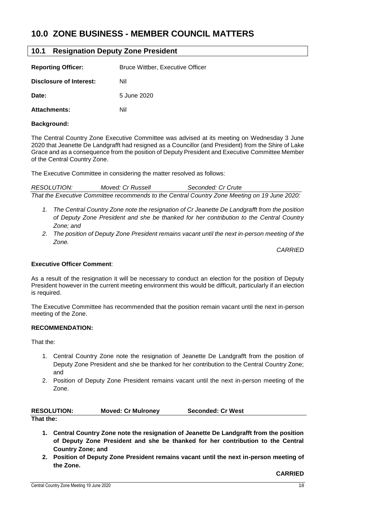### <span id="page-18-0"></span>**10.0 ZONE BUSINESS - MEMBER COUNCIL MATTERS**

### <span id="page-18-1"></span>**10.1 Resignation Deputy Zone President**

| <b>Reporting Officer:</b> | <b>Bruce Wittber, Executive Officer</b> |
|---------------------------|-----------------------------------------|
| Disclosure of Interest:   | Nil                                     |
| Date:                     | 5 June 2020                             |
| <b>Attachments:</b>       | Nil                                     |

### **Background:**

The Central Country Zone Executive Committee was advised at its meeting on Wednesday 3 June 2020 that Jeanette De Landgrafft had resigned as a Councillor (and President) from the Shire of Lake Grace and as a consequence from the position of Deputy President and Executive Committee Member of the Central Country Zone.

The Executive Committee in considering the matter resolved as follows:

*RESOLUTION: Moved: Cr Russell Seconded: Cr Crute That the Executive Committee recommends to the Central Country Zone Meeting on 19 June 2020:*

- *1. The Central Country Zone note the resignation of Cr Jeanette De Landgrafft from the position of Deputy Zone President and she be thanked for her contribution to the Central Country Zone; and*
- *2. The position of Deputy Zone President remains vacant until the next in-person meeting of the Zone.*

*CARRIED*

#### **Executive Officer Comment**:

As a result of the resignation it will be necessary to conduct an election for the position of Deputy President however in the current meeting environment this would be difficult, particularly if an election is required.

The Executive Committee has recommended that the position remain vacant until the next in-person meeting of the Zone.

### **RECOMMENDATION:**

That the:

- 1. Central Country Zone note the resignation of Jeanette De Landgrafft from the position of Deputy Zone President and she be thanked for her contribution to the Central Country Zone; and
- 2. Position of Deputy Zone President remains vacant until the next in-person meeting of the Zone.

| <b>RESOLUTION:</b> | <b>Moved: Cr Mulroney</b> | <b>Seconded: Cr West</b> |
|--------------------|---------------------------|--------------------------|
| That the:          |                           |                          |

- **1. Central Country Zone note the resignation of Jeanette De Landgrafft from the position of Deputy Zone President and she be thanked for her contribution to the Central Country Zone; and**
- **2. Position of Deputy Zone President remains vacant until the next in-person meeting of the Zone.**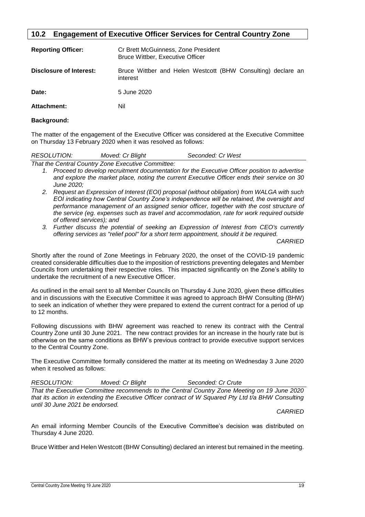### <span id="page-19-0"></span>**10.2 Engagement of Executive Officer Services for Central Country Zone**

| <b>Reporting Officer:</b> | Cr Brett McGuinness, Zone President<br><b>Bruce Wittber, Executive Officer</b> |
|---------------------------|--------------------------------------------------------------------------------|
| Disclosure of Interest:   | Bruce Wittber and Helen Westcott (BHW Consulting) declare an<br>interest       |
| Date:                     | 5 June 2020                                                                    |
| <b>Attachment:</b>        | Nil                                                                            |

### **Background:**

The matter of the engagement of the Executive Officer was considered at the Executive Committee on Thursday 13 February 2020 when it was resolved as follows:

| <b>RESOLUTION:</b> | Moved: Cr Blight                                                                                | Seconded: Cr West |  |
|--------------------|-------------------------------------------------------------------------------------------------|-------------------|--|
|                    | That the Central Country Zone Executive Committee:                                              |                   |  |
|                    | 1. Proceed to develop recruitment documentation for the Executive Officer position to advertise |                   |  |

- *and explore the market place, noting the current Executive Officer ends their service on 30 June 2020;*
- *2. Request an Expression of Interest (EOI) proposal (without obligation) from WALGA with such EOI indicating how Central Country Zone's independence will be retained, the oversight and performance management of an assigned senior officer, together with the cost structure of the service (eg. expenses such as travel and accommodation, rate for work required outside of offered services); and*
- *3. Further discuss the potential of seeking an Expression of Interest from CEO's currently offering services as "relief pool" for a short term appointment, should it be required.*

*CARRIED*

Shortly after the round of Zone Meetings in February 2020, the onset of the COVID-19 pandemic created considerable difficulties due to the imposition of restrictions preventing delegates and Member Councils from undertaking their respective roles. This impacted significantly on the Zone's ability to undertake the recruitment of a new Executive Officer.

As outlined in the email sent to all Member Councils on Thursday 4 June 2020, given these difficulties and in discussions with the Executive Committee it was agreed to approach BHW Consulting (BHW) to seek an indication of whether they were prepared to extend the current contract for a period of up to 12 months.

Following discussions with BHW agreement was reached to renew its contract with the Central Country Zone until 30 June 2021. The new contract provides for an increase in the hourly rate but is otherwise on the same conditions as BHW's previous contract to provide executive support services to the Central Country Zone.

The Executive Committee formally considered the matter at its meeting on Wednesday 3 June 2020 when it resolved as follows:

*RESOLUTION: Moved: Cr Blight Seconded: Cr Crute That the Executive Committee recommends to the Central Country Zone Meeting on 19 June 2020*  that its action in extending the Executive Officer contract of W Squared Pty Ltd t/a BHW Consulting *until 30 June 2021 be endorsed.*

*CARRIED*

An email informing Member Councils of the Executive Committee's decision was distributed on Thursday 4 June 2020.

Bruce Wittber and Helen Westcott (BHW Consulting) declared an interest but remained in the meeting.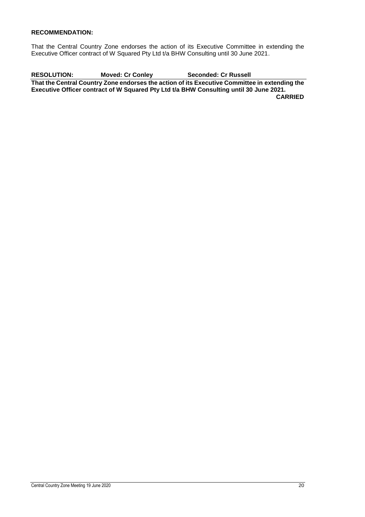### **RECOMMENDATION:**

That the Central Country Zone endorses the action of its Executive Committee in extending the Executive Officer contract of W Squared Pty Ltd t/a BHW Consulting until 30 June 2021.

**RESOLUTION: Moved: Cr Conley Seconded: Cr Russell That the Central Country Zone endorses the action of its Executive Committee in extending the Executive Officer contract of W Squared Pty Ltd t/a BHW Consulting until 30 June 2021. CARRIED**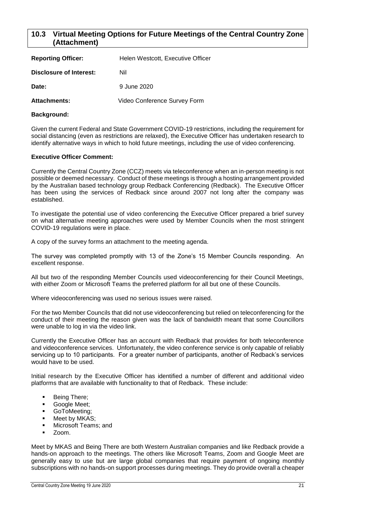### <span id="page-21-0"></span>**10.3 Virtual Meeting Options for Future Meetings of the Central Country Zone (Attachment)**

| <b>Reporting Officer:</b>      | Helen Westcott, Executive Officer |
|--------------------------------|-----------------------------------|
| <b>Disclosure of Interest:</b> | Nil                               |
| Date:                          | 9 June 2020                       |
| <b>Attachments:</b>            | Video Conference Survey Form      |

### **Background:**

Given the current Federal and State Government COVID-19 restrictions, including the requirement for social distancing (even as restrictions are relaxed), the Executive Officer has undertaken research to identify alternative ways in which to hold future meetings, including the use of video conferencing.

### **Executive Officer Comment:**

Currently the Central Country Zone (CCZ) meets via teleconference when an in-person meeting is not possible or deemed necessary. Conduct of these meetings is through a hosting arrangement provided by the Australian based technology group Redback Conferencing (Redback). The Executive Officer has been using the services of Redback since around 2007 not long after the company was established.

To investigate the potential use of video conferencing the Executive Officer prepared a brief survey on what alternative meeting approaches were used by Member Councils when the most stringent COVID-19 regulations were in place.

A copy of the survey forms an attachment to the meeting agenda.

The survey was completed promptly with 13 of the Zone's 15 Member Councils responding. An excellent response.

All but two of the responding Member Councils used videoconferencing for their Council Meetings, with either Zoom or Microsoft Teams the preferred platform for all but one of these Councils.

Where videoconferencing was used no serious issues were raised.

For the two Member Councils that did not use videoconferencing but relied on teleconferencing for the conduct of their meeting the reason given was the lack of bandwidth meant that some Councillors were unable to log in via the video link.

Currently the Executive Officer has an account with Redback that provides for both teleconference and videoconference services. Unfortunately, the video conference service is only capable of reliably servicing up to 10 participants. For a greater number of participants, another of Redback's services would have to be used.

Initial research by the Executive Officer has identified a number of different and additional video platforms that are available with functionality to that of Redback. These include:

- Being There;
- Google Meet;
- GoToMeeting;
- Meet by MKAS;
- Microsoft Teams; and
- Zoom.

Meet by MKAS and Being There are both Western Australian companies and like Redback provide a hands-on approach to the meetings. The others like Microsoft Teams, Zoom and Google Meet are generally easy to use but are large global companies that require payment of ongoing monthly subscriptions with no hands-on support processes during meetings. They do provide overall a cheaper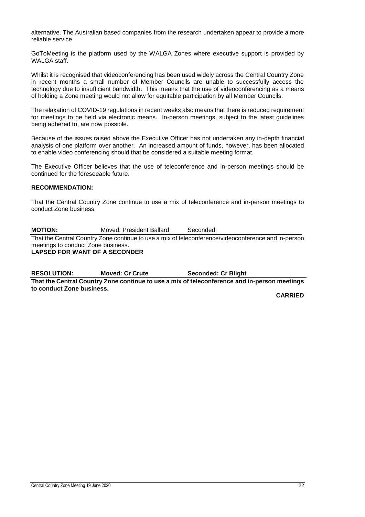alternative. The Australian based companies from the research undertaken appear to provide a more reliable service.

GoToMeeting is the platform used by the WALGA Zones where executive support is provided by WALGA staff.

Whilst it is recognised that videoconferencing has been used widely across the Central Country Zone in recent months a small number of Member Councils are unable to successfully access the technology due to insufficient bandwidth. This means that the use of videoconferencing as a means of holding a Zone meeting would not allow for equitable participation by all Member Councils.

The relaxation of COVID-19 regulations in recent weeks also means that there is reduced requirement for meetings to be held via electronic means. In-person meetings, subject to the latest guidelines being adhered to, are now possible.

Because of the issues raised above the Executive Officer has not undertaken any in-depth financial analysis of one platform over another. An increased amount of funds, however, has been allocated to enable video conferencing should that be considered a suitable meeting format.

The Executive Officer believes that the use of teleconference and in-person meetings should be continued for the foreseeable future.

### **RECOMMENDATION:**

That the Central Country Zone continue to use a mix of teleconference and in-person meetings to conduct Zone business.

**MOTION:** Moved: President Ballard Seconded: That the Central Country Zone continue to use a mix of teleconference/videoconference and in-person meetings to conduct Zone business. **LAPSED FOR WANT OF A SECONDER**

**RESOLUTION: Moved: Cr Crute Seconded: Cr Blight**

**That the Central Country Zone continue to use a mix of teleconference and in-person meetings to conduct Zone business.**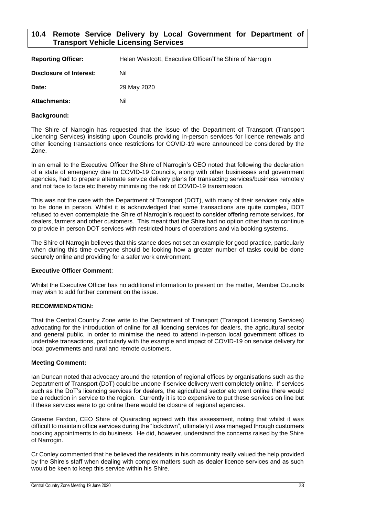### <span id="page-23-0"></span>**10.4 Remote Service Delivery by Local Government for Department of Transport Vehicle Licensing Services**

| <b>Reporting Officer:</b> | Helen Westcott, Executive Officer/The Shire of Narrogin |
|---------------------------|---------------------------------------------------------|
| Disclosure of Interest:   | Nil                                                     |
| Date:                     | 29 May 2020                                             |
| <b>Attachments:</b>       | Nil                                                     |

### **Background:**

The Shire of Narrogin has requested that the issue of the Department of Transport (Transport Licencing Services) insisting upon Councils providing in-person services for licence renewals and other licencing transactions once restrictions for COVID-19 were announced be considered by the Zone.

In an email to the Executive Officer the Shire of Narrogin's CEO noted that following the declaration of a state of emergency due to COVID-19 Councils, along with other businesses and government agencies, had to prepare alternate service delivery plans for transacting services/business remotely and not face to face etc thereby minimising the risk of COVID-19 transmission.

This was not the case with the Department of Transport (DOT), with many of their services only able to be done in person. Whilst it is acknowledged that some transactions are quite complex, DOT refused to even contemplate the Shire of Narrogin's request to consider offering remote services, for dealers, farmers and other customers. This meant that the Shire had no option other than to continue to provide in person DOT services with restricted hours of operations and via booking systems.

The Shire of Narrogin believes that this stance does not set an example for good practice, particularly when during this time everyone should be looking how a greater number of tasks could be done securely online and providing for a safer work environment.

### **Executive Officer Comment**:

Whilst the Executive Officer has no additional information to present on the matter, Member Councils may wish to add further comment on the issue.

#### **RECOMMENDATION:**

That the Central Country Zone write to the Department of Transport (Transport Licensing Services) advocating for the introduction of online for all licencing services for dealers, the agricultural sector and general public, in order to minimise the need to attend in-person local government offices to undertake transactions, particularly with the example and impact of COVID-19 on service delivery for local governments and rural and remote customers.

### **Meeting Comment:**

Ian Duncan noted that advocacy around the retention of regional offices by organisations such as the Department of Transport (DoT) could be undone if service delivery went completely online. If services such as the DoT's licencing services for dealers, the agricultural sector etc went online there would be a reduction in service to the region. Currently it is too expensive to put these services on line but if these services were to go online there would be closure of regional agencies.

Graeme Fardon, CEO Shire of Quairading agreed with this assessment, noting that whilst it was difficult to maintain office services during the "lockdown", ultimately it was managed through customers booking appointments to do business. He did, however, understand the concerns raised by the Shire of Narrogin.

Cr Conley commented that he believed the residents in his community really valued the help provided by the Shire's staff when dealing with complex matters such as dealer licence services and as such would be keen to keep this service within his Shire.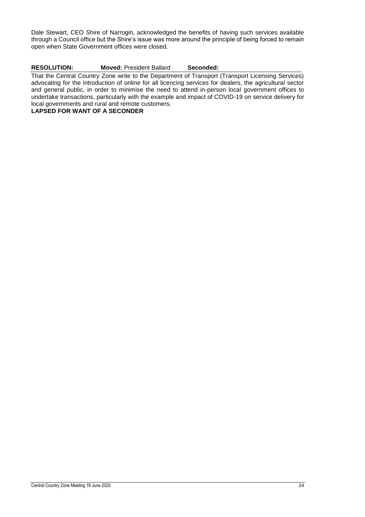Dale Stewart, CEO Shire of Narrogin, acknowledged the benefits of having such services available through a Council office but the Shire's issue was more around the principle of being forced to remain open when State Government offices were closed.

### **RESOLUTION: Moved:** President Ballard **Seconded:**

That the Central Country Zone write to the Department of Transport (Transport Licensing Services) advocating for the introduction of online for all licencing services for dealers, the agricultural sector and general public, in order to minimise the need to attend in-person local government offices to undertake transactions, particularly with the example and impact of COVID-19 on service delivery for local governments and rural and remote customers.

**LAPSED FOR WANT OF A SECONDER**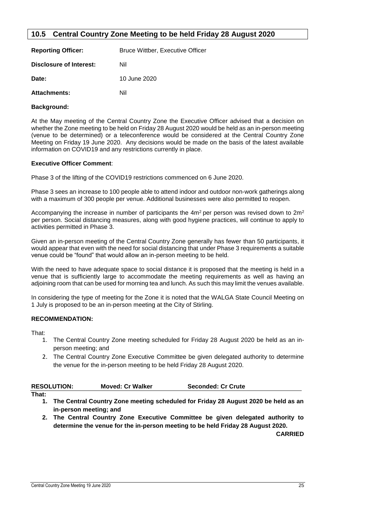### <span id="page-25-0"></span>**10.5 Central Country Zone Meeting to be held Friday 28 August 2020**

| <b>Reporting Officer:</b>      | <b>Bruce Wittber, Executive Officer</b> |  |
|--------------------------------|-----------------------------------------|--|
| <b>Disclosure of Interest:</b> | Nil                                     |  |
| Date:                          | 10 June 2020                            |  |
| <b>Attachments:</b>            | Nil                                     |  |

### **Background:**

At the May meeting of the Central Country Zone the Executive Officer advised that a decision on whether the Zone meeting to be held on Friday 28 August 2020 would be held as an in-person meeting (venue to be determined) or a teleconference would be considered at the Central Country Zone Meeting on Friday 19 June 2020. Any decisions would be made on the basis of the latest available information on COVID19 and any restrictions currently in place.

### **Executive Officer Comment**:

Phase 3 of the lifting of the COVID19 restrictions commenced on 6 June 2020.

Phase 3 sees an increase to 100 people able to attend indoor and outdoor non-work gatherings along with a maximum of 300 people per venue. Additional businesses were also permitted to reopen.

Accompanying the increase in number of participants the  $4m^2$  per person was revised down to  $2m^2$ per person. Social distancing measures, along with good hygiene practices, will continue to apply to activities permitted in Phase 3.

Given an in-person meeting of the Central Country Zone generally has fewer than 50 participants, it would appear that even with the need for social distancing that under Phase 3 requirements a suitable venue could be "found" that would allow an in-person meeting to be held.

With the need to have adequate space to social distance it is proposed that the meeting is held in a venue that is sufficiently large to accommodate the meeting requirements as well as having an adjoining room that can be used for morning tea and lunch. As such this may limit the venues available.

In considering the type of meeting for the Zone it is noted that the WALGA State Council Meeting on 1 July is proposed to be an in-person meeting at the City of Stirling.

### **RECOMMENDATION:**

That:

- 1. The Central Country Zone meeting scheduled for Friday 28 August 2020 be held as an inperson meeting; and
- 2. The Central Country Zone Executive Committee be given delegated authority to determine the venue for the in-person meeting to be held Friday 28 August 2020.

| <b>RESOLUTION:</b> | <b>Moved: Cr Walker</b> | <b>Seconded: Cr Crute</b> |
|--------------------|-------------------------|---------------------------|
|--------------------|-------------------------|---------------------------|

- **That:**
	- **1. The Central Country Zone meeting scheduled for Friday 28 August 2020 be held as an in-person meeting; and**
	- **2. The Central Country Zone Executive Committee be given delegated authority to determine the venue for the in-person meeting to be held Friday 28 August 2020.**